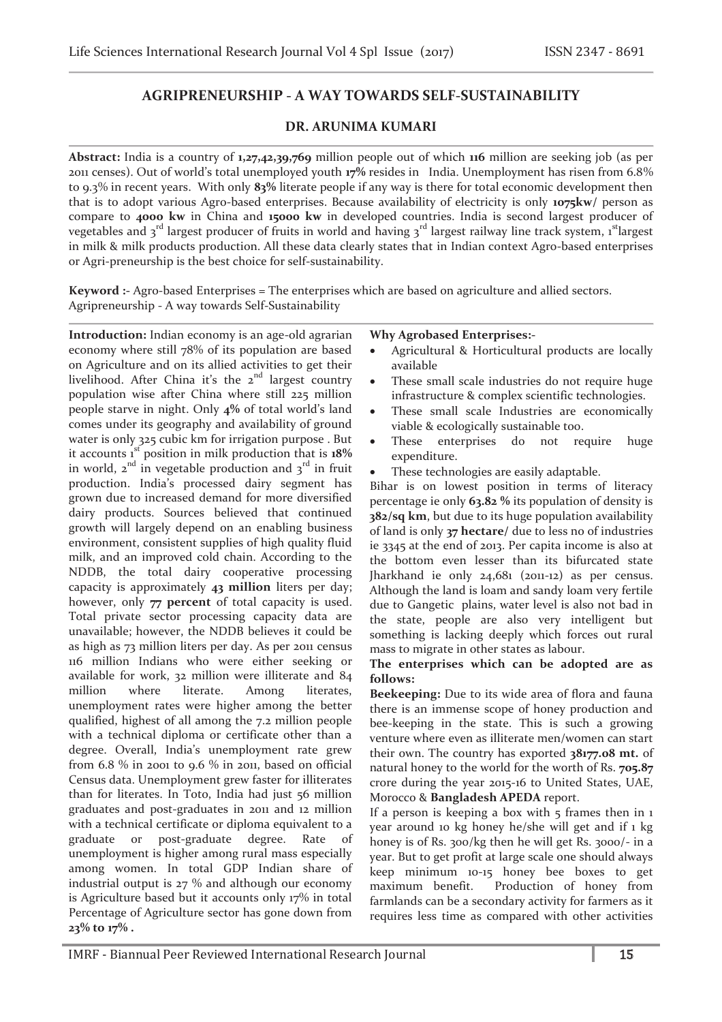# **AGRIPRENEURSHIP - A WAY TOWARDS SELF-SUSTAINABILITY**

## **DR. ARUNIMA KUMARI**

**Abstract:** India is a country of **1,27,42,39,769** million people out of which **116** million are seeking job (as per 2011 censes). Out of world's total unemployed youth **17%** resides in India. Unemployment has risen from 6.8% to 9.3% in recent years. With only **83%** literate people if any way is there for total economic development then that is to adopt various Agro-based enterprises. Because availability of electricity is only **1075kw/** person as compare to **4000 kw** in China and **15000 kw** in developed countries. India is second largest producer of vegetables and 3<sup>rd</sup> largest producer of fruits in world and having 3<sup>rd</sup> largest railway line track system, 1<sup>st</sup>largest in milk & milk products production. All these data clearly states that in Indian context Agro-based enterprises or Agri-preneurship is the best choice for self-sustainability.

**Keyword :-** Agro-based Enterprises = The enterprises which are based on agriculture and allied sectors. Agripreneurship - A way towards Self-Sustainability

**Introduction:** Indian economy is an age-old agrarian economy where still 78% of its population are based on Agriculture and on its allied activities to get their livelihood. After China it's the  $2<sup>nd</sup>$  largest country population wise after China where still 225 million people starve in night. Only **4%** of total world's land comes under its geography and availability of ground water is only 325 cubic km for irrigation purpose . But it accounts 1st position in milk production that is **18%** in world,  $2^{nd}$  in vegetable production and  $3^{rd}$  in fruit production. India's processed dairy segment has grown due to increased demand for more diversified dairy products. Sources believed that continued growth will largely depend on an enabling business environment, consistent supplies of high quality fluid milk, and an improved cold chain. According to the NDDB, the total dairy cooperative processing capacity is approximately **43 million** liters per day; however, only **77 percent** of total capacity is used. Total private sector processing capacity data are unavailable; however, the NDDB believes it could be as high as 73 million liters per day. As per 2011 census 116 million Indians who were either seeking or available for work, 32 million were illiterate and 84 million where literate. Among literates, unemployment rates were higher among the better qualified, highest of all among the 7.2 million people with a technical diploma or certificate other than a degree. Overall, India's unemployment rate grew from 6.8 % in 2001 to 9.6 % in 2011, based on official Census data. Unemployment grew faster for illiterates than for literates. In Toto, India had just 56 million graduates and post-graduates in 2011 and 12 million with a technical certificate or diploma equivalent to a graduate or post-graduate degree. Rate of unemployment is higher among rural mass especially among women. In total GDP Indian share of industrial output is 27 % and although our economy is Agriculture based but it accounts only 17% in total Percentage of Agriculture sector has gone down from **23% to 17% .** 

#### **Why Agrobased Enterprises:-**

- Agricultural & Horticultural products are locally available
- These small scale industries do not require huge infrastructure & complex scientific technologies.
- These small scale Industries are economically viable & ecologically sustainable too.
- These enterprises do not require huge expenditure.
- · These technologies are easily adaptable.

Bihar is on lowest position in terms of literacy percentage ie only **63.82 %** its population of density is **382/sq km**, but due to its huge population availability of land is only **37 hectare/** due to less no of industries ie 3345 at the end of 2013. Per capita income is also at the bottom even lesser than its bifurcated state Jharkhand ie only 24,681 (2011-12) as per census. Although the land is loam and sandy loam very fertile due to Gangetic plains, water level is also not bad in the state, people are also very intelligent but something is lacking deeply which forces out rural mass to migrate in other states as labour.

### **The enterprises which can be adopted are as follows:**

**Beekeeping:** Due to its wide area of flora and fauna there is an immense scope of honey production and bee-keeping in the state. This is such a growing venture where even as illiterate men/women can start their own. The country has exported **38177.08 mt.** of natural honey to the world for the worth of Rs. **705.87** crore during the year 2015-16 to United States, UAE, Morocco & **Bangladesh APEDA** report.

If a person is keeping a box with  $5$  frames then in  $1$ year around 10 kg honey he/she will get and if 1 kg honey is of Rs. 300/kg then he will get Rs. 3000/- in a year. But to get profit at large scale one should always keep minimum 10-15 honey bee boxes to get maximum benefit. Production of honey from farmlands can be a secondary activity for farmers as it requires less time as compared with other activities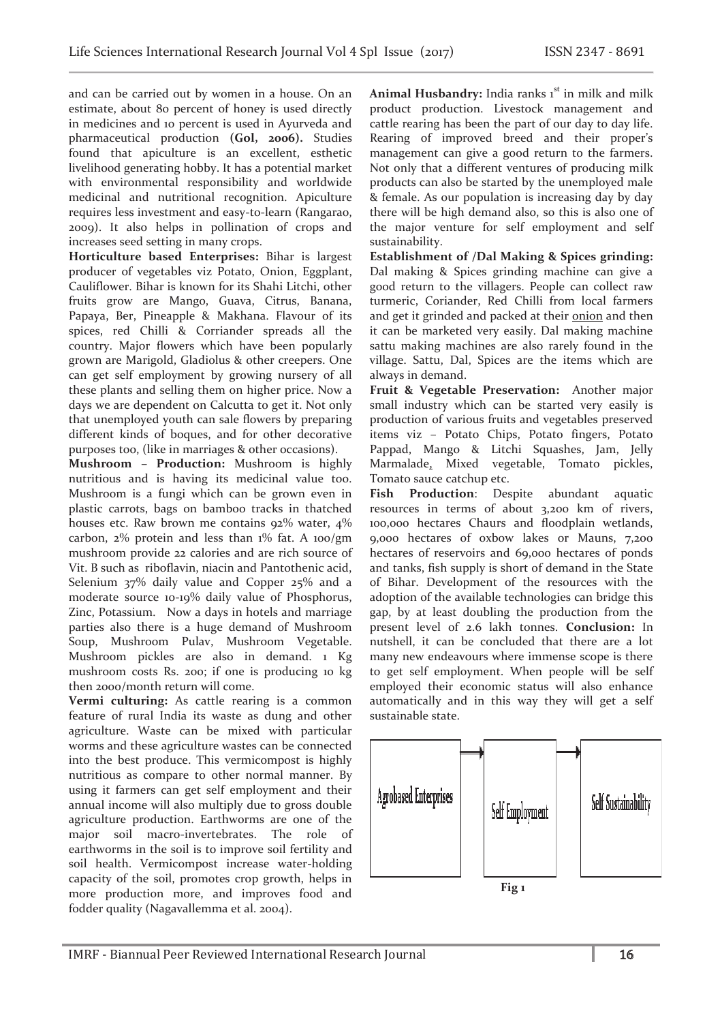and can be carried out by women in a house. On an estimate, about 80 percent of honey is used directly in medicines and 10 percent is used in Ayurveda and pharmaceutical production **(Gol, 2006).** Studies found that apiculture is an excellent, esthetic livelihood generating hobby. It has a potential market with environmental responsibility and worldwide medicinal and nutritional recognition. Apiculture requires less investment and easy-to-learn (Rangarao, 2009). It also helps in pollination of crops and increases seed setting in many crops.

**Horticulture based Enterprises:** Bihar is largest producer of vegetables viz Potato, Onion, Eggplant, Cauliflower. Bihar is known for its Shahi Litchi, other fruits grow are Mango, Guava, Citrus, Banana, Papaya, Ber, Pineapple & Makhana. Flavour of its spices, red Chilli & Corriander spreads all the country. Major flowers which have been popularly grown are Marigold, Gladiolus & other creepers. One can get self employment by growing nursery of all these plants and selling them on higher price. Now a days we are dependent on Calcutta to get it. Not only that unemployed youth can sale flowers by preparing different kinds of boques, and for other decorative purposes too, (like in marriages & other occasions).

**Mushroom – Production:** Mushroom is highly nutritious and is having its medicinal value too. Mushroom is a fungi which can be grown even in plastic carrots, bags on bamboo tracks in thatched houses etc. Raw brown me contains 92% water, 4% carbon, 2% protein and less than 1% fat. A 100/gm mushroom provide 22 calories and are rich source of Vit. B such as riboflavin, niacin and Pantothenic acid, Selenium 37% daily value and Copper 25% and a moderate source 10-19% daily value of Phosphorus, Zinc, Potassium. Now a days in hotels and marriage parties also there is a huge demand of Mushroom Soup, Mushroom Pulav, Mushroom Vegetable. Mushroom pickles are also in demand. 1 Kg mushroom costs Rs. 200; if one is producing 10 kg then 2000/month return will come.

**Vermi culturing:** As cattle rearing is a common feature of rural India its waste as dung and other agriculture. Waste can be mixed with particular worms and these agriculture wastes can be connected into the best produce. This vermicompost is highly nutritious as compare to other normal manner. By using it farmers can get self employment and their annual income will also multiply due to gross double agriculture production. Earthworms are one of the major soil macro-invertebrates. The role of earthworms in the soil is to improve soil fertility and soil health. Vermicompost increase water-holding capacity of the soil, promotes crop growth, helps in more production more, and improves food and fodder quality (Nagavallemma et al. 2004).

Animal Husbandry: India ranks 1<sup>st</sup> in milk and milk product production. Livestock management and cattle rearing has been the part of our day to day life. Rearing of improved breed and their proper's management can give a good return to the farmers. Not only that a different ventures of producing milk products can also be started by the unemployed male & female. As our population is increasing day by day there will be high demand also, so this is also one of the major venture for self employment and self sustainability.

**Establishment of /Dal Making & Spices grinding:**  Dal making & Spices grinding machine can give a good return to the villagers. People can collect raw turmeric, Coriander, Red Chilli from local farmers and get it grinded and packed at their onion and then it can be marketed very easily. Dal making machine sattu making machines are also rarely found in the village. Sattu, Dal, Spices are the items which are always in demand.

**Fruit & Vegetable Preservation:** Another major small industry which can be started very easily is production of various fruits and vegetables preserved items viz – Potato Chips, Potato fingers, Potato Pappad, Mango & Litchi Squashes, Jam, Jelly Marmalade, Mixed vegetable, Tomato pickles, Tomato sauce catchup etc.

**Fish Production**: Despite abundant aquatic resources in terms of about 3,200 km of rivers, 100,000 hectares Chaurs and floodplain wetlands, 9,000 hectares of oxbow lakes or Mauns, 7,200 hectares of reservoirs and 69,000 hectares of ponds and tanks, fish supply is short of demand in the State of Bihar. Development of the resources with the adoption of the available technologies can bridge this gap, by at least doubling the production from the present level of 2.6 lakh tonnes. **Conclusion:** In nutshell, it can be concluded that there are a lot many new endeavours where immense scope is there to get self employment. When people will be self employed their economic status will also enhance automatically and in this way they will get a self sustainable state.